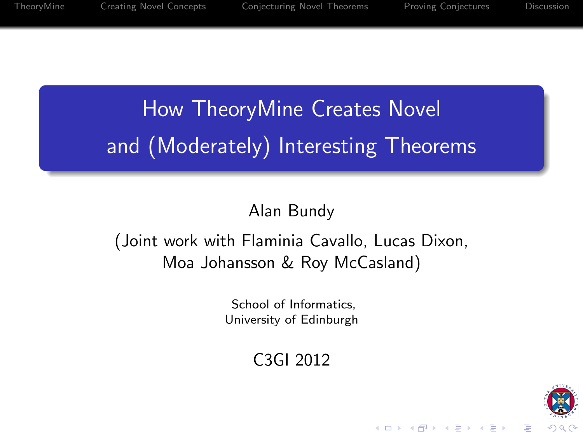# How TheoryMine Creates Novel and (Moderately) Interesting Theorems

## Alan Bundy

## (Joint work with Flaminia Cavallo, Lucas Dixon, Moa Johansson & Roy McCasland)

School of Informatics, University of Edinburgh

C3GI 2012

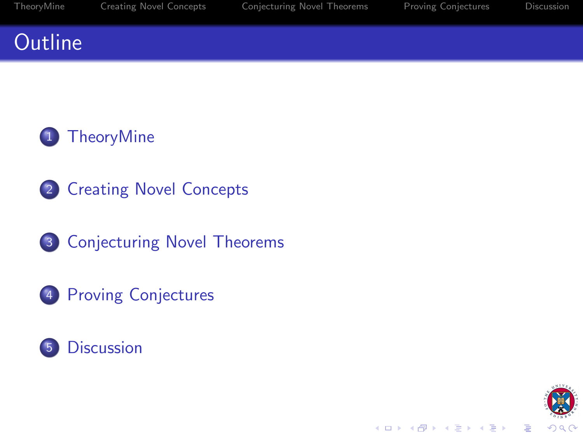# **Outline**



- [Creating Novel Concepts](#page-5-0)
- [Conjecturing Novel Theorems](#page-8-0)
- [Proving Conjectures](#page-10-0)



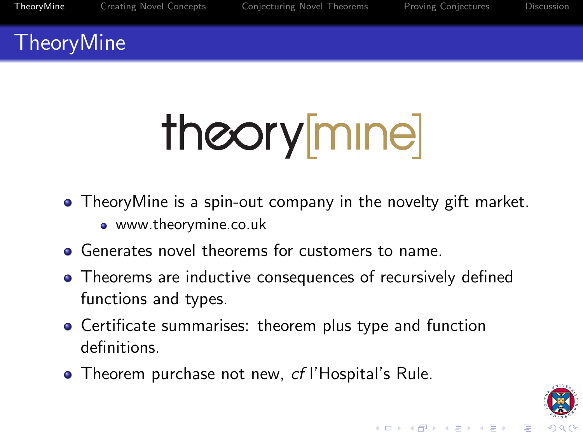$(1 - \epsilon)$  and  $(1 - \epsilon)$  and  $(1 - \epsilon)$ 

# TheoryMine

# theory[mine]

- TheoryMine is a spin-out company in the novelty gift market.
	- www.theorymine.co.uk
- **•** Generates novel theorems for customers to name.
- Theorems are inductive consequences of recursively defined functions and types.
- Certificate summarises: theorem plus type and function definitions.
- <span id="page-2-0"></span>**• Theorem purchase not new, cf l'Hospital's Rule.**



B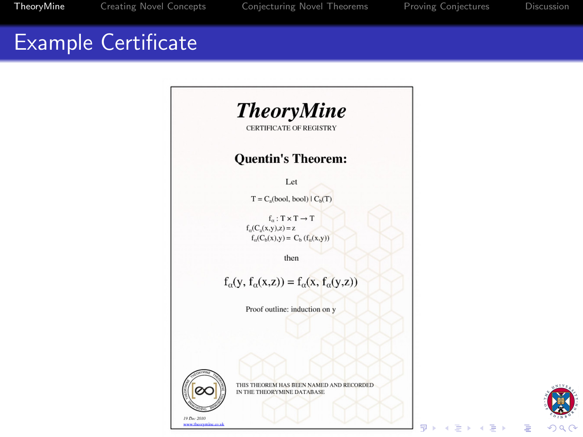# Example Certificate





Þ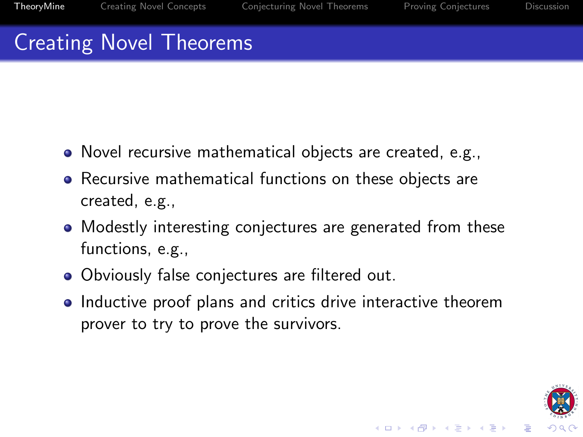# Creating Novel Theorems

- Novel recursive mathematical objects are created, e.g.,
- Recursive mathematical functions on these objects are created, e.g.,
- Modestly interesting conjectures are generated from these functions, e.g.,
- Obviously false conjectures are filtered out.
- Inductive proof plans and critics drive interactive theorem prover to try to prove the survivors.

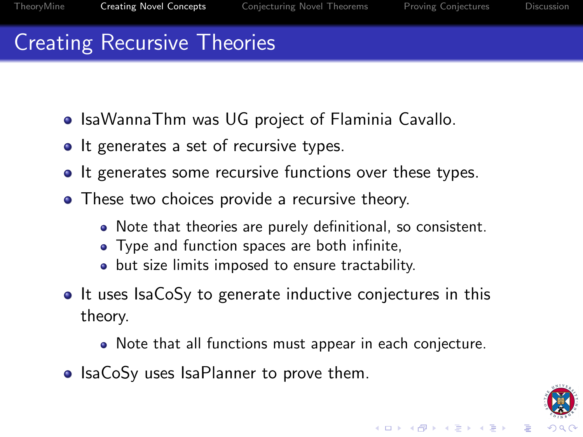# Creating Recursive Theories

- IsaWannaThm was UG project of Flaminia Cavallo.
- It generates a set of recursive types.
- It generates some recursive functions over these types.
- These two choices provide a recursive theory.
	- Note that theories are purely definitional, so consistent.
	- Type and function spaces are both infinite,
	- but size limits imposed to ensure tractability.
- It uses IsaCoSy to generate inductive conjectures in this theory.
	- Note that all functions must appear in each conjecture.
- <span id="page-5-0"></span>• IsaCoSy uses IsaPlanner to prove them.

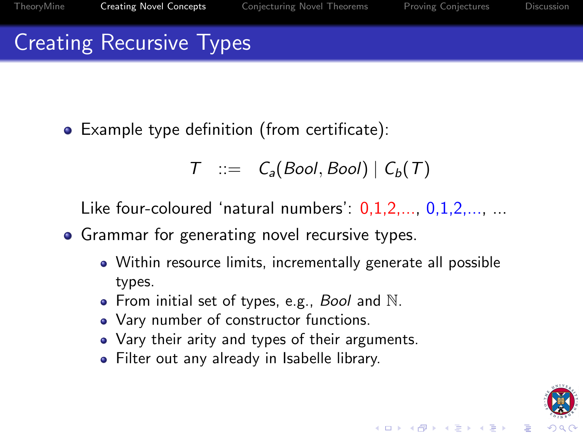$(1 - \epsilon)$  and  $(1 - \epsilon)$  and  $(1 - \epsilon)$ 

# Creating Recursive Types

Example type definition (from certificate):

$$
T :: = C_a(Bool,Bool) | C_b(T)
$$

Like four-coloured 'natural numbers':  $0.1.2,..., 0.1.2,..., ...$ 

## • Grammar for generating novel recursive types.

- Within resource limits, incrementally generate all possible types.
- From initial set of types, e.g., Bool and  $N$ .
- Vary number of constructor functions.
- Vary their arity and types of their arguments.
- Filter out any already in Isabelle library.

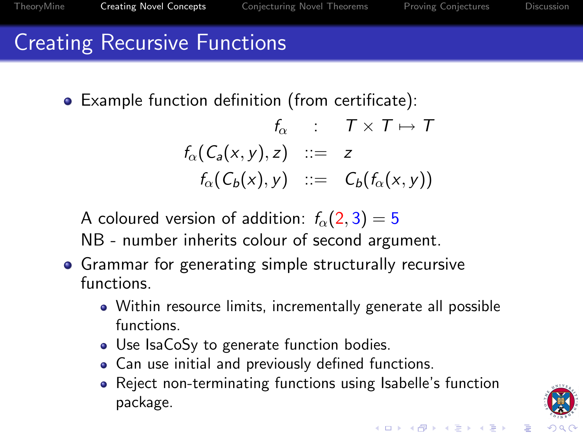# Creating Recursive Functions

Example function definition (from certificate):

$$
f_{\alpha} : T \times T \mapsto T
$$
  

$$
f_{\alpha}(C_a(x, y), z) ::= z
$$
  

$$
f_{\alpha}(C_b(x), y) ::= C_b(f_{\alpha}(x, y))
$$

A coloured version of addition:  $f_{\alpha}(2,3) = 5$ 

NB - number inherits colour of second argument.

- <span id="page-7-0"></span>**•** Grammar for generating simple structurally recursive functions.
	- Within resource limits, incrementally generate all possible functions.
	- Use IsaCoSy to generate function bodies.
	- Can use initial and previously defined functions.
	- Reject non-terminating functions using Isabelle's function package.



 $\bar{\Xi}$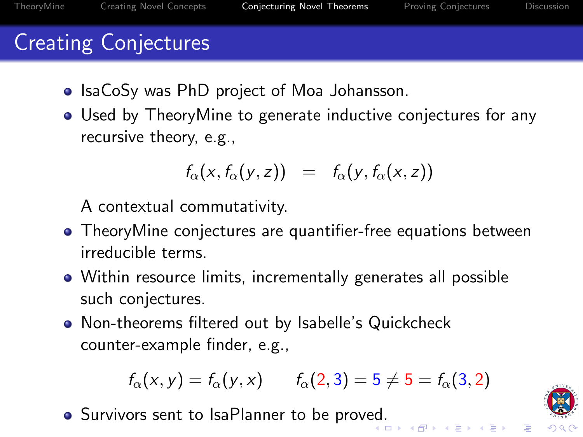# Creating Conjectures

- IsaCoSy was PhD project of Moa Johansson.
- Used by TheoryMine to generate inductive conjectures for any recursive theory, e.g.,

$$
f_{\alpha}(x, f_{\alpha}(y, z)) = f_{\alpha}(y, f_{\alpha}(x, z))
$$

A contextual commutativity.

- TheoryMine conjectures are quantifier-free equations between irreducible terms.
- Within resource limits, incrementally generates all possible such conjectures.
- Non-theorems filtered out by Isabelle's Quickcheck counter-example finder, e.g.,

$$
f_{\alpha}(x, y) = f_{\alpha}(y, x)
$$
  $f_{\alpha}(2, 3) = 5 \neq 5 = f_{\alpha}(3, 2)$ 

<span id="page-8-0"></span>**•** Survivors sent to IsaPlanner to be prov[ed.](#page-7-0)



E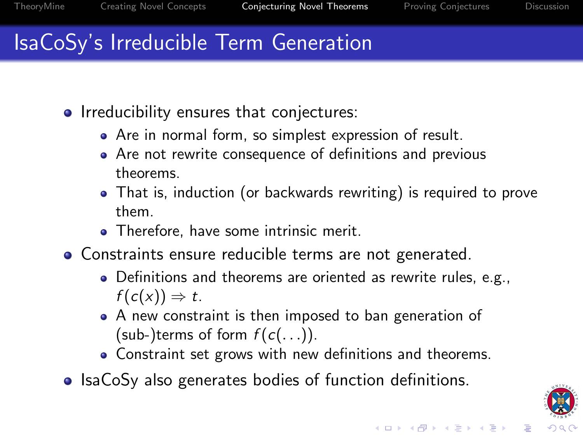# IsaCoSy's Irreducible Term Generation

- Irreducibility ensures that conjectures:
	- Are in normal form, so simplest expression of result.
	- Are not rewrite consequence of definitions and previous theorems.
	- That is, induction (or backwards rewriting) is required to prove them.
	- Therefore, have some intrinsic merit.
- Constraints ensure reducible terms are not generated.
	- Definitions and theorems are oriented as rewrite rules, e.g.,  $f(c(x)) \Rightarrow t$ .
	- A new constraint is then imposed to ban generation of (sub-)terms of form  $f(c(\ldots))$ .
	- Constraint set grows with new definitions and theorems.
- IsaCoSy also generates bodies of function definitions.

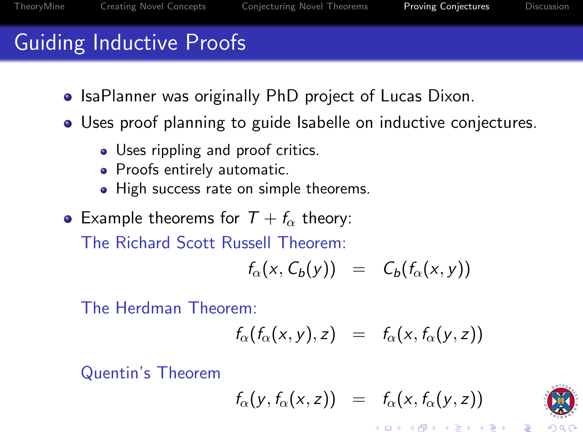# Guiding Inductive Proofs

- IsaPlanner was originally PhD project of Lucas Dixon.
- Uses proof planning to guide Isabelle on inductive conjectures.
	- Uses rippling and proof critics.
	- Proofs entirely automatic.
	- High success rate on simple theorems.
- Example theorems for  $T + f_{\alpha}$  theory:

The Richard Scott Russell Theorem:

$$
f_{\alpha}(x, C_b(y)) = C_b(f_{\alpha}(x, y))
$$

The Herdman Theorem:

$$
f_{\alpha}(f_{\alpha}(x,y),z) = f_{\alpha}(x,f_{\alpha}(y,z))
$$

<span id="page-10-0"></span>Quentin's Theorem

$$
f_{\alpha}(y, f_{\alpha}(x, z)) = f_{\alpha}(x, f_{\alpha}(y, z))
$$

イロメ 不優 メイミメイミメ



B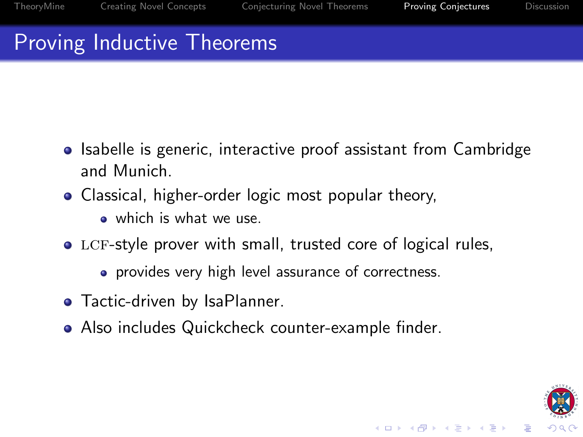$(1 - \epsilon)$  and  $(1 - \epsilon)$  and  $(1 - \epsilon)$ 

# Proving Inductive Theorems

- Isabelle is generic, interactive proof assistant from Cambridge and Munich.
- Classical, higher-order logic most popular theory,
	- which is what we use.
- LCF-style prover with small, trusted core of logical rules,
	- **•** provides very high level assurance of correctness.
- Tactic-driven by IsaPlanner.
- Also includes Quickcheck counter-example finder.

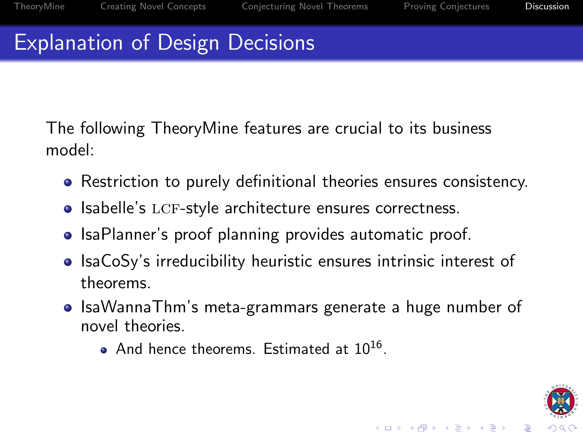# Explanation of Design Decisions

The following TheoryMine features are crucial to its business model:

- Restriction to purely definitional theories ensures consistency.
- Isabelle's LCF-style architecture ensures correctness.
- IsaPlanner's proof planning provides automatic proof.
- IsaCoSy's irreducibility heuristic ensures intrinsic interest of theorems.
- <span id="page-12-0"></span>• IsaWannaThm's meta-grammars generate a huge number of novel theories.
	- And hence theorems. Estimated at 10<sup>16</sup>.